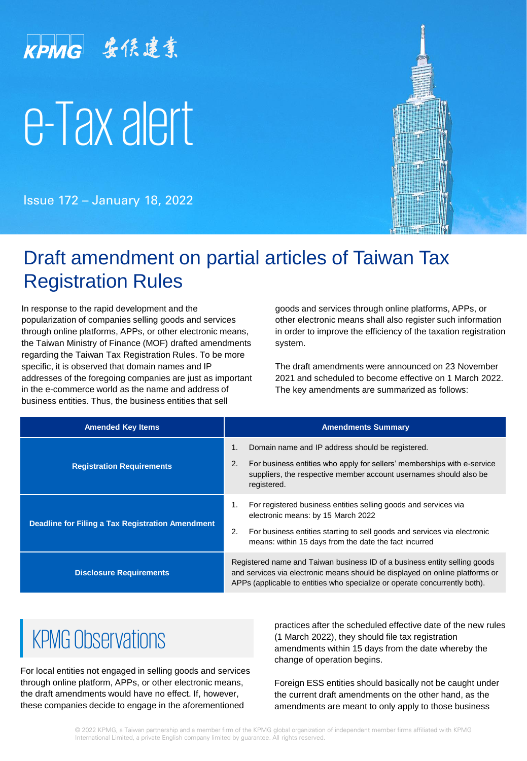# KPMG 安侯建業

# e-Tax alert

Issue 172 – January 18, 2022



### Draft amendment on partial articles of Taiwan Tax Registration Rules

In response to the rapid development and the popularization of companies selling goods and services through online platforms, APPs, or other electronic means, the Taiwan Ministry of Finance (MOF) drafted amendments regarding the Taiwan Tax Registration Rules. To be more specific, it is observed that domain names and IP addresses of the foregoing companies are just as important in the e-commerce world as the name and address of business entities. Thus, the business entities that sell

goods and services through online platforms, APPs, or other electronic means shall also register such information in order to improve the efficiency of the taxation registration system.

The draft amendments were announced on 23 November 2021 and scheduled to become effective on 1 March 2022. The key amendments are summarized as follows:

| <b>Amended Key Items</b>                                | <b>Amendments Summary</b>                                                                                                                                                                                                                              |
|---------------------------------------------------------|--------------------------------------------------------------------------------------------------------------------------------------------------------------------------------------------------------------------------------------------------------|
| <b>Registration Requirements</b>                        | Domain name and IP address should be registered.<br>1.<br>For business entities who apply for sellers' memberships with e-service<br>2.<br>suppliers, the respective member account usernames should also be<br>registered.                            |
| <b>Deadline for Filing a Tax Registration Amendment</b> | For registered business entities selling goods and services via<br>1.<br>electronic means: by 15 March 2022<br>For business entities starting to sell goods and services via electronic<br>2.<br>means: within 15 days from the date the fact incurred |
| <b>Disclosure Requirements</b>                          | Registered name and Taiwan business ID of a business entity selling goods<br>and services via electronic means should be displayed on online platforms or<br>APPs (applicable to entities who specialize or operate concurrently both).                |

## **KPMG Observations**

For local entities not engaged in selling goods and services through online platform, APPs, or other electronic means, the draft amendments would have no effect. If, however, these companies decide to engage in the aforementioned

practices after the scheduled effective date of the new rules (1 March 2022), they should file tax registration amendments within 15 days from the date whereby the change of operation begins.

Foreign ESS entities should basically not be caught under the current draft amendments on the other hand, as the amendments are meant to only apply to those business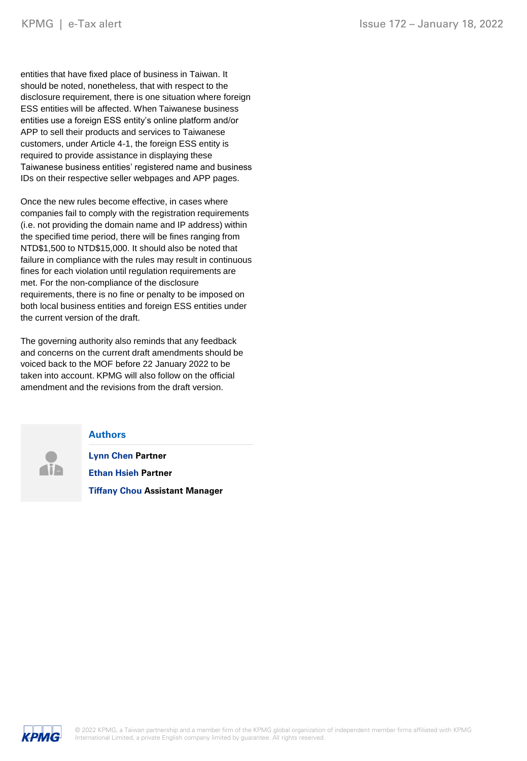entities that have fixed place of business in Taiwan. It should be noted, nonetheless, that with respect to the disclosure requirement, there is one situation where foreign ESS entities will be affected. When Taiwanese business entities use a foreign ESS entity's online platform and/or APP to sell their products and services to Taiwanese customers, under Article 4-1, the foreign ESS entity is required to provide assistance in displaying these Taiwanese business entities' registered name and business IDs on their respective seller webpages and APP pages.

Once the new rules become effective, in cases where companies fail to comply with the registration requirements (i.e. not providing the domain name and IP address) within the specified time period, there will be fines ranging from NTD\$1,500 to NTD\$15,000. It should also be noted that failure in compliance with the rules may result in continuous fines for each violation until regulation requirements are met. For the non-compliance of the disclosure requirements, there is no fine or penalty to be imposed on both local business entities and foreign ESS entities under the current version of the draft.

The governing authority also reminds that any feedback and concerns on the current draft amendments should be voiced back to the MOF before 22 January 2022 to be taken into account. KPMG will also follow on the official amendment and the revisions from the draft version.



#### **Authors**

**Lynn Chen Partner Ethan Hsieh Partner Tiffany Chou Assistant Manager**

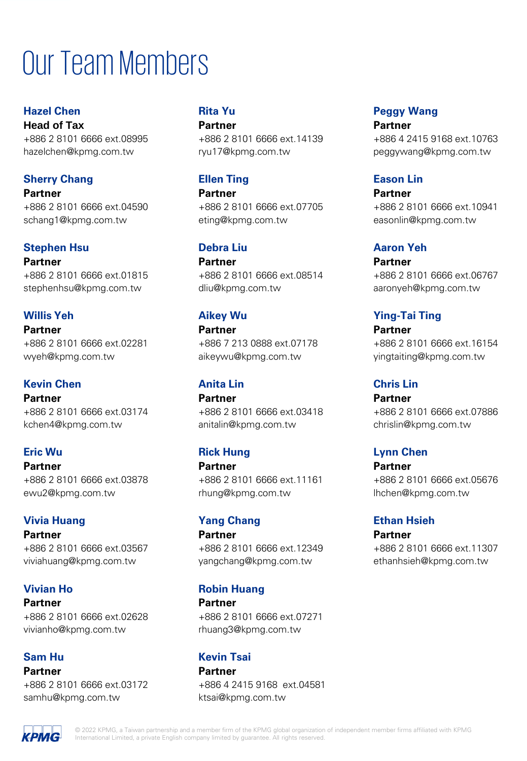# Our Team Members

**Hazel Chen Head of Tax** +886 2 8101 6666 ext.08995 hazelchen@kpmg.com.tw

#### **Sherry Chang**

**Partner** +886 2 8101 6666 ext.04590 schang1@kpmg.com.tw

#### **Stephen Hsu**

**Partner** +886 2 8101 6666 ext.01815 stephenhsu@kpmg.com.tw

#### **Willis Yeh**

**Partner** +886 2 8101 6666 ext.02281 wyeh@kpmg.com.tw

#### **Kevin Chen**

**Partner** +886 2 8101 6666 ext.03174 kchen4@kpmg.com.tw

#### **Eric Wu**

**Partner** +886 2 8101 6666 ext.03878 ewu2@kpmg.com.tw

#### **Vivia Huang**

**Partner** +886 2 8101 6666 ext.03567 viviahuang@kpmg.com.tw

#### **Vivian Ho**

**Partner** +886 2 8101 6666 ext.02628 vivianho@kpmg.com.tw

#### **Sam Hu**

**Partner** +886 2 8101 6666 ext.03172 samhu@kpmg.com.tw

#### **Rita Yu Partner**

+886 2 8101 6666 ext.14139 ryu17@kpmg.com.tw

#### **Ellen Ting Partner**

+886 2 8101 6666 ext.07705 eting@kpmg.com.tw

#### **Debra Liu**

**Partner** +886 2 8101 6666 ext.08514 dliu@kpmg.com.tw

#### **Aikey Wu**

**Partner** +886 7 213 0888 ext.07178 aikeywu@kpmg.com.tw

#### **Anita Lin**

**Partner** +886 2 8101 6666 ext.03418 anitalin@kpmg.com.tw

#### **Rick Hung**

**Partner** +886 2 8101 6666 ext.11161 rhung@kpmg.com.tw

#### **Yang Chang**

**Partner** +886 2 8101 6666 ext.12349 yangchang@kpmg.com.tw

#### **Robin Huang**

**Partner** +886 2 8101 6666 ext.07271 rhuang3@kpmg.com.tw

#### **Kevin Tsai Partner**

+886 4 2415 9168 ext.04581 ktsai@kpmg.com.tw

#### **Peggy Wang Partner**

+886 4 2415 9168 ext.10763 peggywang@kpmg.com.tw

#### **Eason Lin**

**Partner** +886 2 8101 6666 ext.10941 easonlin@kpmg.com.tw

#### **Aaron Yeh**

**Partner** +886 2 8101 6666 ext.06767 aaronyeh@kpmg.com.tw

#### **Ying-Tai Ting**

**Partner** +886 2 8101 6666 ext.16154 yingtaiting@kpmg.com.tw

#### **Chris Lin**

**Partner** +886 2 8101 6666 ext.07886

#### chrislin@kpmg.com.tw

#### **Lynn Chen**

**Partner** +886 2 8101 6666 ext.05676 lhchen@kpmg.com.tw

#### **Ethan Hsieh Partner**

+886 2 8101 6666 ext.11307 ethanhsieh@kpmg.com.tw